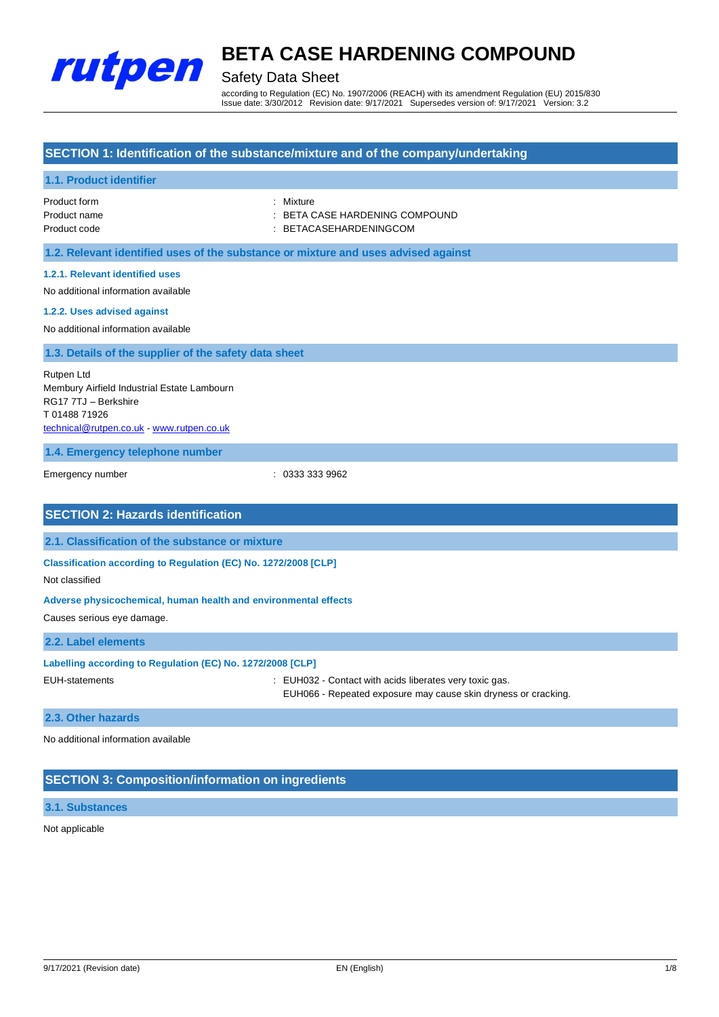

## Safety Data Sheet

according to Regulation (EC) No. 1907/2006 (REACH) with its amendment Regulation (EU) 2015/830 Issue date: 3/30/2012 Revision date: 9/17/2021 Supersedes version of: 9/17/2021 Version: 3.2

## **SECTION 1: Identification of the substance/mixture and of the company/undertaking**

## **1.1. Product identifier**

| Product form | : Mixture                      |
|--------------|--------------------------------|
| Product name | : BETA CASE HARDENING COMPOUND |
| Product code | : BETACASEHARDENINGCOM         |

**1.2. Relevant identified uses of the substance or mixture and uses advised against**

### **1.2.1. Relevant identified uses**

No additional information available

#### **1.2.2. Uses advised against**

No additional information available

## **1.3. Details of the supplier of the safety data sheet**

Rutpen Ltd Membury Airfield Industrial Estate Lambourn RG17 7TJ – Berkshire T 01488 71926 [technical@rutpen.co.uk](mailto:technical@rutpen.co.uk) - [www.rutpen.co.uk](http://www.rutpen.co.uk/)

**1.4. Emergency telephone number**

Emergency number : 0333 333 9962

## **SECTION 2: Hazards identification 2.1. Classification of the substance or mixture Classification according to Regulation (EC) No. 1272/2008 [CLP]** Not classified **Adverse physicochemical, human health and environmental effects**

Causes serious eye damage.

### **2.2. Label elements**

| Labelling according to Regulation (EC) No. 1272/2008 [CLP] |                                                                                                                           |
|------------------------------------------------------------|---------------------------------------------------------------------------------------------------------------------------|
| EUH-statements                                             | : EUH032 - Contact with acids liberates very toxic gas.<br>EUH066 - Repeated exposure may cause skin dryness or cracking. |
|                                                            |                                                                                                                           |

#### **2.3. Other hazards**

No additional information available

## **SECTION 3: Composition/information on ingredients**

## **3.1. Substances**

Not applicable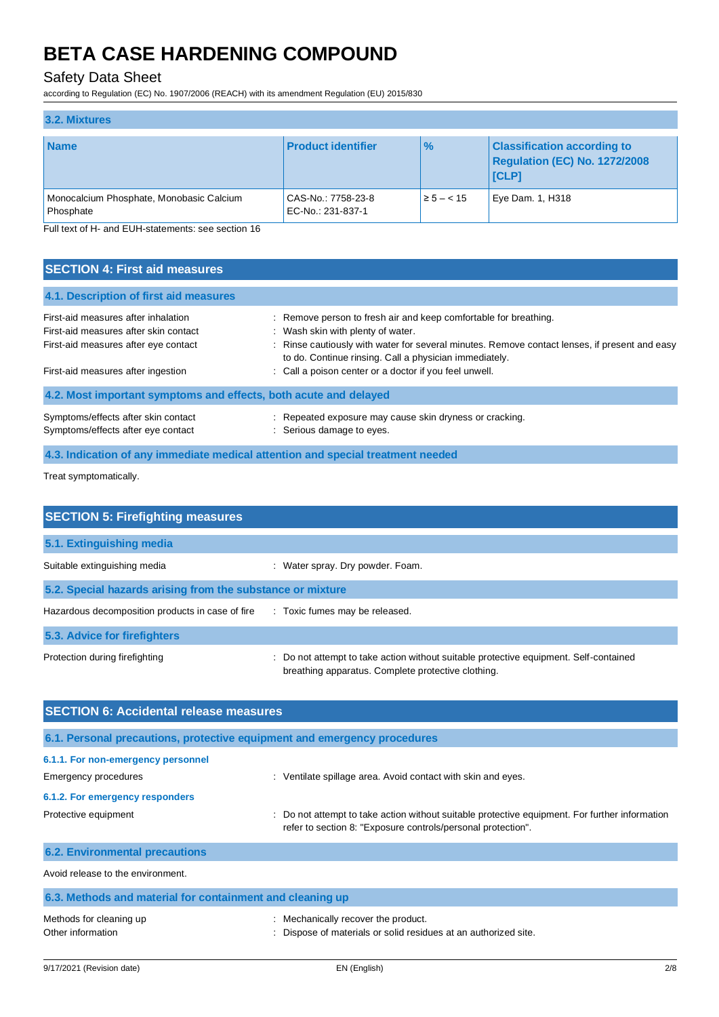## Safety Data Sheet

according to Regulation (EC) No. 1907/2006 (REACH) with its amendment Regulation (EU) 2015/830

| 3.2. Mixtures                                         |                                         |                |                                                                              |  |  |
|-------------------------------------------------------|-----------------------------------------|----------------|------------------------------------------------------------------------------|--|--|
| <b>Name</b>                                           | <b>Product identifier</b>               | $\frac{9}{6}$  | <b>Classification according to</b><br>Regulation (EC) No. 1272/2008<br>[CLP] |  |  |
| Monocalcium Phosphate, Monobasic Calcium<br>Phosphate | CAS-No.: 7758-23-8<br>EC-No.: 231-837-1 | $\ge 5 - < 15$ | Eye Dam. 1, H318                                                             |  |  |

Full text of H- and EUH-statements: see section 16

| <b>SECTION 4: First aid measures</b>                                         |                                                                                                                                                                                                                   |
|------------------------------------------------------------------------------|-------------------------------------------------------------------------------------------------------------------------------------------------------------------------------------------------------------------|
| 4.1. Description of first aid measures                                       |                                                                                                                                                                                                                   |
| First-aid measures after inhalation<br>First-aid measures after skin contact | : Remove person to fresh air and keep comfortable for breathing.<br>: Wash skin with plenty of water.                                                                                                             |
| First-aid measures after eye contact<br>First-aid measures after ingestion   | : Rinse cautiously with water for several minutes. Remove contact lenses, if present and easy<br>to do. Continue rinsing. Call a physician immediately.<br>: Call a poison center or a doctor if you feel unwell. |
| 4.2. Most important symptoms and effects, both acute and delayed             |                                                                                                                                                                                                                   |
| Symptoms/effects after skin contact<br>Symptoms/effects after eye contact    | : Repeated exposure may cause skin dryness or cracking.<br>Serious damage to eyes.                                                                                                                                |
|                                                                              |                                                                                                                                                                                                                   |

**4.3. Indication of any immediate medical attention and special treatment needed**

Treat symptomatically.

| <b>SECTION 5: Firefighting measures</b>                    |                                                                                                                                             |  |  |  |
|------------------------------------------------------------|---------------------------------------------------------------------------------------------------------------------------------------------|--|--|--|
| 5.1. Extinguishing media                                   |                                                                                                                                             |  |  |  |
| Suitable extinguishing media                               | : Water spray. Dry powder. Foam.                                                                                                            |  |  |  |
| 5.2. Special hazards arising from the substance or mixture |                                                                                                                                             |  |  |  |
| Hazardous decomposition products in case of fire           | : Toxic fumes may be released.                                                                                                              |  |  |  |
| 5.3. Advice for firefighters                               |                                                                                                                                             |  |  |  |
| Protection during firefighting                             | : Do not attempt to take action without suitable protective equipment. Self-contained<br>breathing apparatus. Complete protective clothing. |  |  |  |

| <b>SECTION 6: Accidental release measures</b>                            |                                                                                                                                                              |  |  |  |
|--------------------------------------------------------------------------|--------------------------------------------------------------------------------------------------------------------------------------------------------------|--|--|--|
| 6.1. Personal precautions, protective equipment and emergency procedures |                                                                                                                                                              |  |  |  |
| 6.1.1. For non-emergency personnel<br>Emergency procedures               | : Ventilate spillage area. Avoid contact with skin and eyes.                                                                                                 |  |  |  |
| 6.1.2. For emergency responders                                          |                                                                                                                                                              |  |  |  |
| Protective equipment                                                     | Do not attempt to take action without suitable protective equipment. For further information<br>refer to section 8: "Exposure controls/personal protection". |  |  |  |
| <b>6.2. Environmental precautions</b>                                    |                                                                                                                                                              |  |  |  |
| Avoid release to the environment.                                        |                                                                                                                                                              |  |  |  |
| 6.3. Methods and material for containment and cleaning up                |                                                                                                                                                              |  |  |  |
| Methods for cleaning up                                                  | Mechanically recover the product.                                                                                                                            |  |  |  |

Other information **contains the interval of the contains of materials** or solid residues at an authorized site.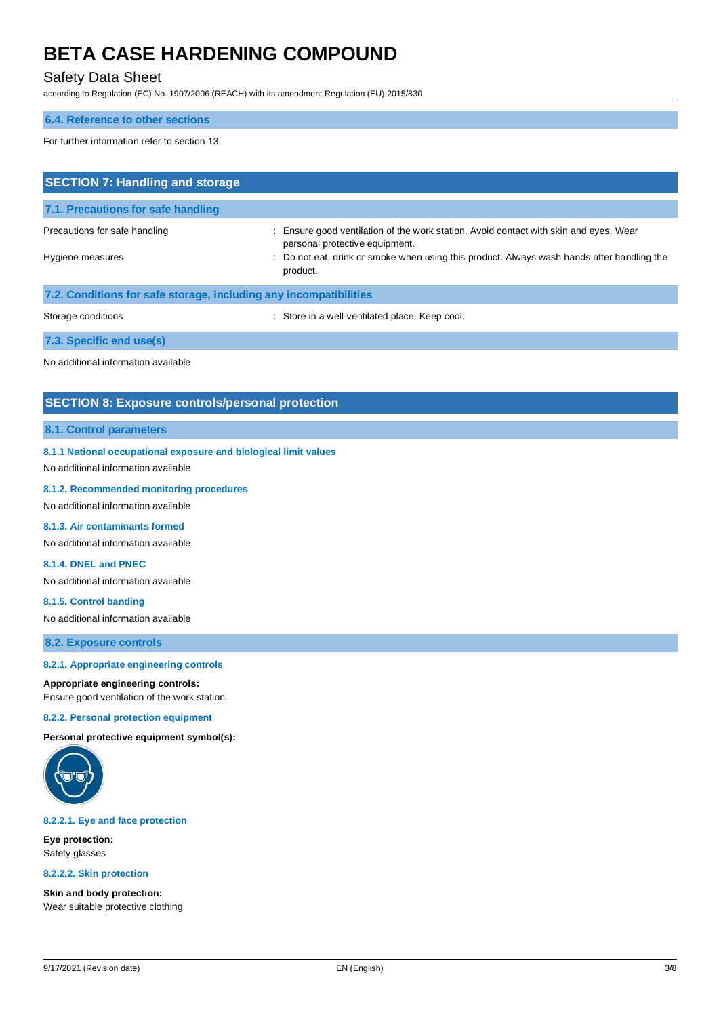## Safety Data Sheet

according to Regulation (EC) No. 1907/2006 (REACH) with its amendment Regulation (EU) 2015/830

### **6.4. Reference to other sections**

For further information refer to section 13.

| <b>SECTION 7: Handling and storage</b>                            |                                                                                                                       |  |  |  |
|-------------------------------------------------------------------|-----------------------------------------------------------------------------------------------------------------------|--|--|--|
| 7.1. Precautions for safe handling                                |                                                                                                                       |  |  |  |
| Precautions for safe handling                                     | Ensure good ventilation of the work station. Avoid contact with skin and eyes. Wear<br>personal protective equipment. |  |  |  |
| Hygiene measures                                                  | : Do not eat, drink or smoke when using this product. Always wash hands after handling the<br>product.                |  |  |  |
| 7.2. Conditions for safe storage, including any incompatibilities |                                                                                                                       |  |  |  |
| Storage conditions                                                | : Store in a well-ventilated place. Keep cool.                                                                        |  |  |  |
| 7.3. Specific end use(s)                                          |                                                                                                                       |  |  |  |
| No additional information available                               |                                                                                                                       |  |  |  |

## **SECTION 8: Exposure controls/personal protection**

## **8.1. Control parameters**

**8.1.1 National occupational exposure and biological limit values**

No additional information available

#### **8.1.2. Recommended monitoring procedures**

No additional information available

**8.1.3. Air contaminants formed**

No additional information available

## **8.1.4. DNEL and PNEC**

No additional information available

### **8.1.5. Control banding**

No additional information available

**8.2. Exposure controls**

#### **8.2.1. Appropriate engineering controls**

### **Appropriate engineering controls:**

Ensure good ventilation of the work station.

#### **8.2.2. Personal protection equipment**

**Personal protective equipment symbol(s):**



#### **8.2.2.1. Eye and face protection**

**Eye protection:** Safety glasses

#### **8.2.2.2. Skin protection**

**Skin and body protection:** Wear suitable protective clothing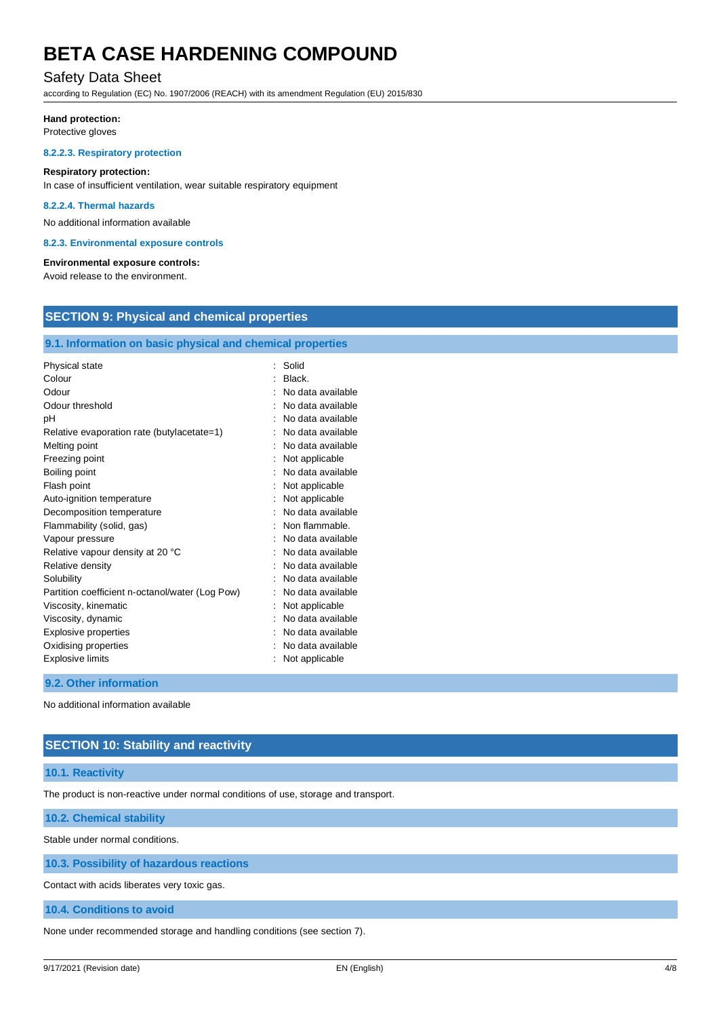## Safety Data Sheet

according to Regulation (EC) No. 1907/2006 (REACH) with its amendment Regulation (EU) 2015/830

#### **Hand protection:**

Protective gloves

### **8.2.2.3. Respiratory protection**

#### **Respiratory protection:**

In case of insufficient ventilation, wear suitable respiratory equipment

#### **8.2.2.4. Thermal hazards**

No additional information available

#### **8.2.3. Environmental exposure controls**

#### **Environmental exposure controls:**

Avoid release to the environment.

## **SECTION 9: Physical and chemical properties**

## **9.1. Information on basic physical and chemical properties**

| Physical state                                  | Solid             |
|-------------------------------------------------|-------------------|
| Colour                                          | Black.            |
| Odour                                           | No data available |
| Odour threshold                                 | No data available |
| рH                                              | No data available |
| Relative evaporation rate (butylacetate=1)      | No data available |
| Melting point                                   | No data available |
| Freezing point                                  | Not applicable    |
| Boiling point                                   | No data available |
| Flash point                                     | Not applicable    |
| Auto-ignition temperature                       | Not applicable    |
| Decomposition temperature                       | No data available |
| Flammability (solid, gas)                       | Non flammable.    |
| Vapour pressure                                 | No data available |
| Relative vapour density at 20 °C                | No data available |
| Relative density                                | No data available |
| Solubility                                      | No data available |
| Partition coefficient n-octanol/water (Log Pow) | No data available |
| Viscosity, kinematic                            | Not applicable    |
| Viscosity, dynamic                              | No data available |
| <b>Explosive properties</b>                     | No data available |
| Oxidising properties                            | No data available |
| <b>Explosive limits</b>                         | Not applicable    |

## **9.2. Other information**

No additional information available

## **SECTION 10: Stability and reactivity**

## **10.1. Reactivity**

The product is non-reactive under normal conditions of use, storage and transport.

**10.2. Chemical stability**

Stable under normal conditions.

**10.3. Possibility of hazardous reactions**

Contact with acids liberates very toxic gas.

## **10.4. Conditions to avoid**

None under recommended storage and handling conditions (see section 7).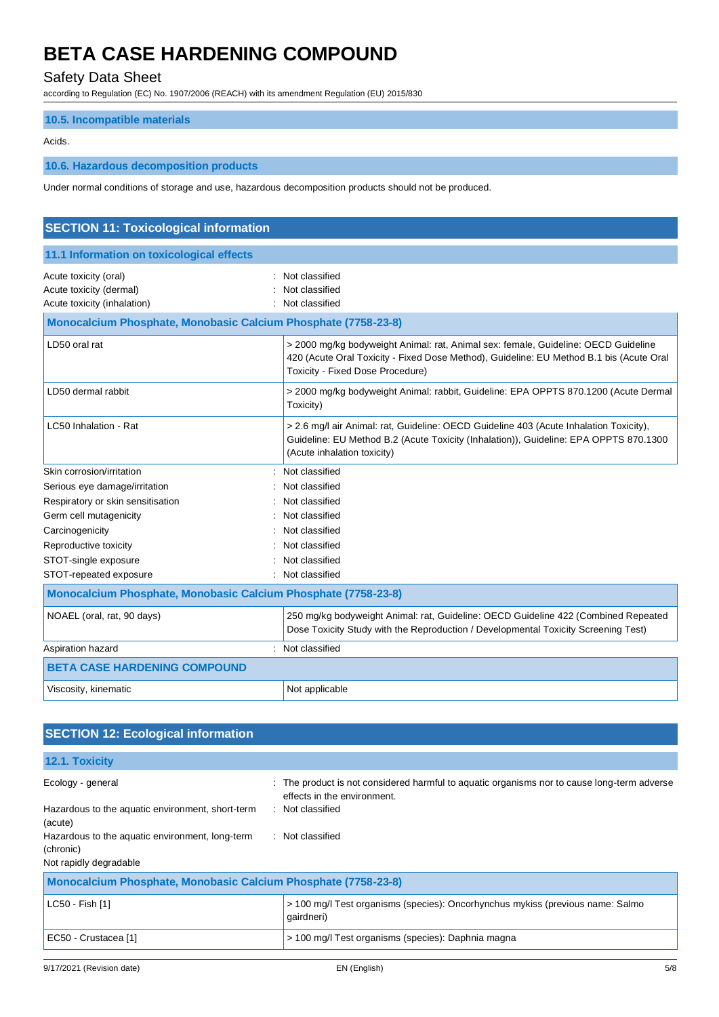## Safety Data Sheet

according to Regulation (EC) No. 1907/2006 (REACH) with its amendment Regulation (EU) 2015/830

## **10.5. Incompatible materials**

#### Acids.

## **10.6. Hazardous decomposition products**

Under normal conditions of storage and use, hazardous decomposition products should not be produced.

| <b>SECTION 11: Toxicological information</b>                                    |                                                                                                                                                                                                                          |  |  |
|---------------------------------------------------------------------------------|--------------------------------------------------------------------------------------------------------------------------------------------------------------------------------------------------------------------------|--|--|
| 11.1 Information on toxicological effects                                       |                                                                                                                                                                                                                          |  |  |
| Acute toxicity (oral)<br>Acute toxicity (dermal)<br>Acute toxicity (inhalation) | Not classified<br>Not classified<br>Not classified                                                                                                                                                                       |  |  |
| Monocalcium Phosphate, Monobasic Calcium Phosphate (7758-23-8)                  |                                                                                                                                                                                                                          |  |  |
| LD50 oral rat                                                                   | > 2000 mg/kg bodyweight Animal: rat, Animal sex: female, Guideline: OECD Guideline<br>420 (Acute Oral Toxicity - Fixed Dose Method), Guideline: EU Method B.1 bis (Acute Oral<br><b>Toxicity - Fixed Dose Procedure)</b> |  |  |
| LD50 dermal rabbit                                                              | > 2000 mg/kg bodyweight Animal: rabbit, Guideline: EPA OPPTS 870.1200 (Acute Dermal<br>Toxicity)                                                                                                                         |  |  |
| LC50 Inhalation - Rat                                                           | > 2.6 mg/l air Animal: rat, Guideline: OECD Guideline 403 (Acute Inhalation Toxicity),<br>Guideline: EU Method B.2 (Acute Toxicity (Inhalation)), Guideline: EPA OPPTS 870.1300<br>(Acute inhalation toxicity)           |  |  |
| Skin corrosion/irritation                                                       | : Not classified                                                                                                                                                                                                         |  |  |
| Serious eye damage/irritation                                                   | Not classified                                                                                                                                                                                                           |  |  |
| Respiratory or skin sensitisation                                               | Not classified                                                                                                                                                                                                           |  |  |
| Germ cell mutagenicity                                                          | Not classified                                                                                                                                                                                                           |  |  |
| Carcinogenicity                                                                 | Not classified                                                                                                                                                                                                           |  |  |
| Reproductive toxicity                                                           | Not classified                                                                                                                                                                                                           |  |  |
| STOT-single exposure                                                            | Not classified                                                                                                                                                                                                           |  |  |
| STOT-repeated exposure                                                          | Not classified                                                                                                                                                                                                           |  |  |
| Monocalcium Phosphate, Monobasic Calcium Phosphate (7758-23-8)                  |                                                                                                                                                                                                                          |  |  |
| NOAEL (oral, rat, 90 days)                                                      | 250 mg/kg bodyweight Animal: rat, Guideline: OECD Guideline 422 (Combined Repeated<br>Dose Toxicity Study with the Reproduction / Developmental Toxicity Screening Test)                                                 |  |  |
| Aspiration hazard                                                               | Not classified                                                                                                                                                                                                           |  |  |
| <b>BETA CASE HARDENING COMPOUND</b>                                             |                                                                                                                                                                                                                          |  |  |
| Viscosity, kinematic                                                            | Not applicable                                                                                                                                                                                                           |  |  |

## **SECTION 12: Ecological information**

**12.1. Toxicity**

| Ecology - general                                              | The product is not considered harmful to aguatic organisms nor to cause long-term adverse<br>effects in the environment. |
|----------------------------------------------------------------|--------------------------------------------------------------------------------------------------------------------------|
| Hazardous to the aquatic environment, short-term<br>(acute)    | : Not classified                                                                                                         |
| Hazardous to the aquatic environment, long-term                | : Not classified                                                                                                         |
| (chronic)                                                      |                                                                                                                          |
| Not rapidly degradable                                         |                                                                                                                          |
| Monocalcium Phosphate, Monobasic Calcium Phosphate (7758-23-8) |                                                                                                                          |
| LC50 - Fish [1]                                                | > 100 mg/l Test organisms (species): Oncorhynchus mykiss (previous name: Salmo<br>gairdneri)                             |
| EC50 - Crustacea [1]                                           | > 100 mg/l Test organisms (species): Daphnia magna                                                                       |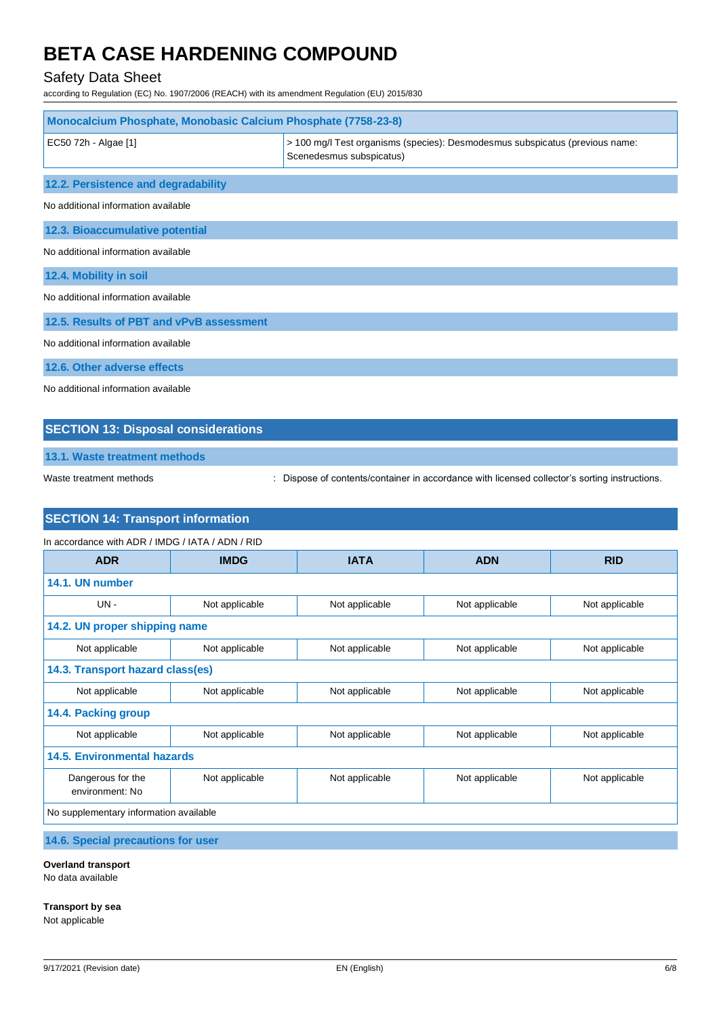## Safety Data Sheet

according to Regulation (EC) No. 1907/2006 (REACH) with its amendment Regulation (EU) 2015/830

| <b>Monocalcium Phosphate, Monobasic Calcium Phosphate (7758-23-8)</b> |                                                                                                          |  |  |
|-----------------------------------------------------------------------|----------------------------------------------------------------------------------------------------------|--|--|
| EC50 72h - Algae [1]                                                  | > 100 mg/l Test organisms (species): Desmodesmus subspicatus (previous name:<br>Scenedesmus subspicatus) |  |  |
| 12.2. Persistence and degradability                                   |                                                                                                          |  |  |
| No additional information available                                   |                                                                                                          |  |  |
| 12.3. Bioaccumulative potential                                       |                                                                                                          |  |  |
| No additional information available                                   |                                                                                                          |  |  |
| 12.4. Mobility in soil                                                |                                                                                                          |  |  |
| No additional information available                                   |                                                                                                          |  |  |
| 12.5. Results of PBT and vPvB assessment                              |                                                                                                          |  |  |
| No additional information available                                   |                                                                                                          |  |  |
| 12.6. Other adverse effects                                           |                                                                                                          |  |  |
| No additional information available                                   |                                                                                                          |  |  |

## **SECTION 13: Disposal considerations**

**13.1. Waste treatment methods**

Waste treatment methods : Dispose of contents/container in accordance with licensed collector's sorting instructions.

## **SECTION 14: Transport information**

#### In accordance with ADR / IMDG / IATA / ADN / RID

| <b>ADR</b>                             | <b>IMDG</b>                      | <b>IATA</b>    | <b>ADN</b>     | <b>RID</b>     |  |  |
|----------------------------------------|----------------------------------|----------------|----------------|----------------|--|--|
| 14.1. UN number                        |                                  |                |                |                |  |  |
| $UN -$                                 | Not applicable                   | Not applicable | Not applicable | Not applicable |  |  |
| 14.2. UN proper shipping name          |                                  |                |                |                |  |  |
| Not applicable                         | Not applicable                   | Not applicable | Not applicable | Not applicable |  |  |
|                                        | 14.3. Transport hazard class(es) |                |                |                |  |  |
| Not applicable                         | Not applicable                   | Not applicable | Not applicable | Not applicable |  |  |
| 14.4. Packing group                    |                                  |                |                |                |  |  |
| Not applicable                         | Not applicable                   | Not applicable | Not applicable | Not applicable |  |  |
| 14.5. Environmental hazards            |                                  |                |                |                |  |  |
| Dangerous for the<br>environment: No   | Not applicable                   | Not applicable | Not applicable | Not applicable |  |  |
| No supplementary information available |                                  |                |                |                |  |  |
| 14.6. Special precautions for user     |                                  |                |                |                |  |  |

**Overland transport** No data available

**Transport by sea** Not applicable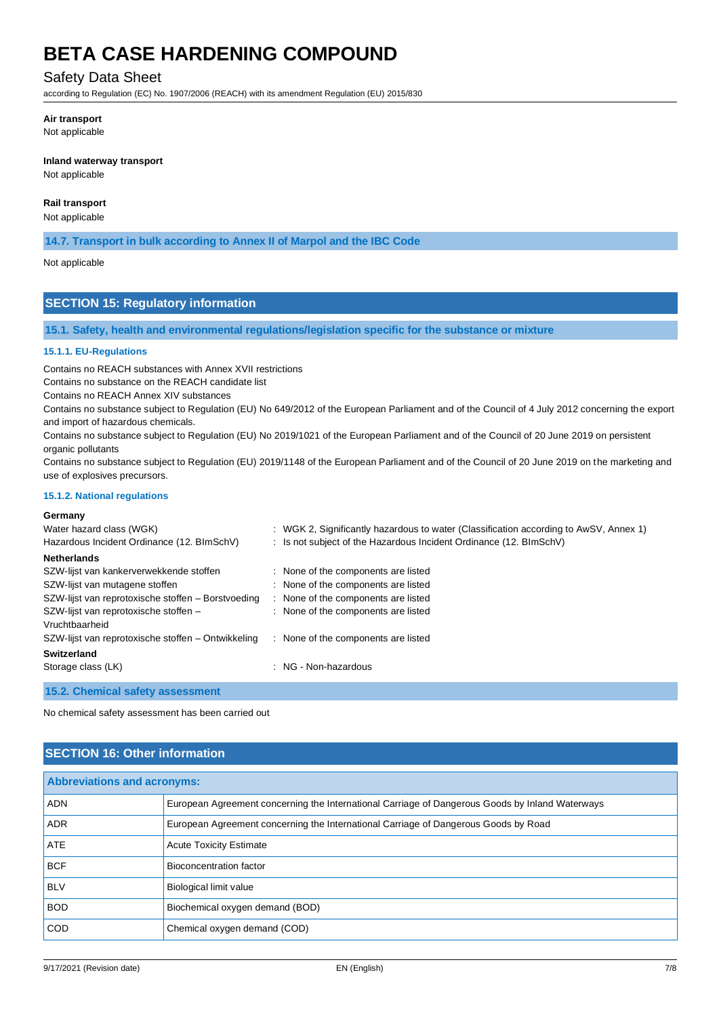## Safety Data Sheet

according to Regulation (EC) No. 1907/2006 (REACH) with its amendment Regulation (EU) 2015/830

### **Air transport**

Not applicable

### **Inland waterway transport**

Not applicable

## **Rail transport**

Not applicable

**14.7. Transport in bulk according to Annex II of Marpol and the IBC Code**

#### Not applicable

## **SECTION 15: Regulatory information**

**15.1. Safety, health and environmental regulations/legislation specific for the substance or mixture**

## **15.1.1. EU-Regulations**

Contains no REACH substances with Annex XVII restrictions

Contains no substance on the REACH candidate list

Contains no REACH Annex XIV substances

Contains no substance subject to Regulation (EU) No 649/2012 of the European Parliament and of the Council of 4 July 2012 concerning the export and import of hazardous chemicals.

Contains no substance subject to Regulation (EU) No 2019/1021 of the European Parliament and of the Council of 20 June 2019 on persistent organic pollutants

Contains no substance subject to Regulation (EU) 2019/1148 of the European Parliament and of the Council of 20 June 2019 on the marketing and use of explosives precursors.

### **15.1.2. National regulations**

### **Germany**

| Water hazard class (WGK)<br>Hazardous Incident Ordinance (12. BImSchV) | : WGK 2, Significantly hazardous to water (Classification according to AwSV, Annex 1)<br>: Is not subject of the Hazardous Incident Ordinance (12. BImSchV) |
|------------------------------------------------------------------------|-------------------------------------------------------------------------------------------------------------------------------------------------------------|
| <b>Netherlands</b>                                                     |                                                                                                                                                             |
| SZW-lijst van kankerverwekkende stoffen                                | : None of the components are listed                                                                                                                         |
| SZW-lijst van mutagene stoffen                                         | : None of the components are listed                                                                                                                         |
| SZW-lijst van reprotoxische stoffen - Borstvoeding                     | : None of the components are listed                                                                                                                         |
| SZW-lijst van reprotoxische stoffen -                                  | : None of the components are listed                                                                                                                         |
| Vruchtbaarheid                                                         |                                                                                                                                                             |
| SZW-lijst van reprotoxische stoffen – Ontwikkeling                     | : None of the components are listed                                                                                                                         |
| <b>Switzerland</b>                                                     |                                                                                                                                                             |
| Storage class (LK)                                                     | : NG - Non-hazardous                                                                                                                                        |
|                                                                        |                                                                                                                                                             |

**15.2. Chemical safety assessment**

No chemical safety assessment has been carried out

## **SECTION 16: Other information**

| <b>Abbreviations and acronyms:</b> |                                                                                                 |
|------------------------------------|-------------------------------------------------------------------------------------------------|
| <b>ADN</b>                         | European Agreement concerning the International Carriage of Dangerous Goods by Inland Waterways |
| <b>ADR</b>                         | European Agreement concerning the International Carriage of Dangerous Goods by Road             |
| ATE                                | <b>Acute Toxicity Estimate</b>                                                                  |
| <b>BCF</b>                         | Bioconcentration factor                                                                         |
| <b>BLV</b>                         | Biological limit value                                                                          |
| <b>BOD</b>                         | Biochemical oxygen demand (BOD)                                                                 |
| <b>COD</b>                         | Chemical oxygen demand (COD)                                                                    |